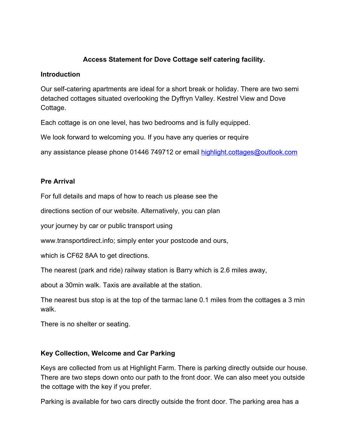## **Access Statement for Dove Cottage self catering facility.**

#### **Introduction**

Our self-catering apartments are ideal for a short break or holiday. There are two semi detached cottages situated overlooking the Dyffryn Valley. Kestrel View and Dove Cottage.

Each cottage is on one level, has two bedrooms and is fully equipped.

We look forward to welcoming you. If you have any queries or require

any assistance please phone 01446 749712 or email [highlight.cottages@outlook.com](mailto:highlight.cottages@outlook.com)

## **Pre Arrival**

For full details and maps of how to reach us please see the

directions section of our website. Alternatively, you can plan

your journey by car or public transport using

www.transportdirect.info; simply enter your postcode and ours,

which is CF62 8AA to get directions.

The nearest (park and ride) railway station is Barry which is 2.6 miles away,

about a 30min walk. Taxis are available at the station.

The nearest bus stop is at the top of the tarmac lane 0.1 miles from the cottages a 3 min walk.

There is no shelter or seating.

# **Key Collection, Welcome and Car Parking**

Keys are collected from us at Highlight Farm. There is parking directly outside our house. There are two steps down onto our path to the front door. We can also meet you outside the cottage with the key if you prefer.

Parking is available for two cars directly outside the front door. The parking area has a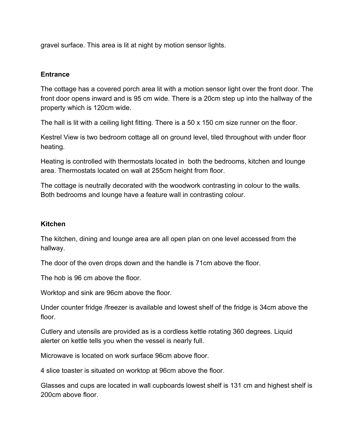gravel surface. This area is lit at night by motion sensor lights.

#### **Entrance**

The cottage has a covered porch area lit with a motion sensor light over the front door. The front door opens inward and is 95 cm wide. There is a 20cm step up into the hallway of the property which is 120cm wide.

The hall is lit with a ceiling light fitting. There is a 50 x 150 cm size runner on the floor.

Kestrel View is two bedroom cottage all on ground level, tiled throughout with under floor heating.

Heating is controlled with thermostats located in both the bedrooms, kitchen and lounge area. Thermostats located on wall at 255cm height from floor.

The cottage is neutrally decorated with the woodwork contrasting in colour to the walls. Both bedrooms and lounge have a feature wall in contrasting colour.

#### **Kitchen**

The kitchen, dining and lounge area are all open plan on one level accessed from the hallway.

The door of the oven drops down and the handle is 71cm above the floor.

The hob is 96 cm above the floor.

Worktop and sink are 96cm above the floor.

Under counter fridge /freezer is available and lowest shelf of the fridge is 34cm above the floor.

Cutlery and utensils are provided as is a cordless kettle rotating 360 degrees. Liquid alerter on kettle tells you when the vessel is nearly full.

Microwave is located on work surface 96cm above floor.

4 slice toaster is situated on worktop at 96cm above the floor.

Glasses and cups are located in wall cupboards lowest shelf is 131 cm and highest shelf is 200cm above floor.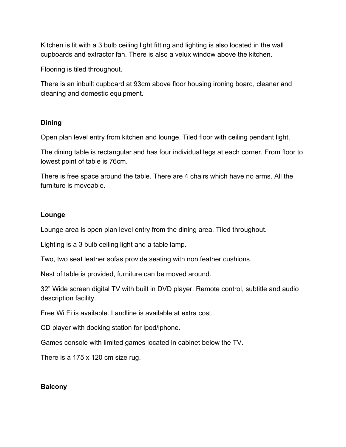Kitchen is lit with a 3 bulb ceiling light fitting and lighting is also located in the wall cupboards and extractor fan. There is also a velux window above the kitchen.

Flooring is tiled throughout.

There is an inbuilt cupboard at 93cm above floor housing ironing board, cleaner and cleaning and domestic equipment.

## **Dining**

Open plan level entry from kitchen and lounge. Tiled floor with ceiling pendant light.

The dining table is rectangular and has four individual legs at each corner. From floor to lowest point of table is 76cm.

There is free space around the table. There are 4 chairs which have no arms. All the furniture is moveable.

#### **Lounge**

Lounge area is open plan level entry from the dining area. Tiled throughout.

Lighting is a 3 bulb ceiling light and a table lamp.

Two, two seat leather sofas provide seating with non feather cushions.

Nest of table is provided, furniture can be moved around.

32" Wide screen digital TV with built in DVD player. Remote control, subtitle and audio description facility.

Free Wi Fi is available. Landline is available at extra cost.

CD player with docking station for ipod/iphone.

Games console with limited games located in cabinet below the TV.

There is a 175 x 120 cm size rug.

## **Balcony**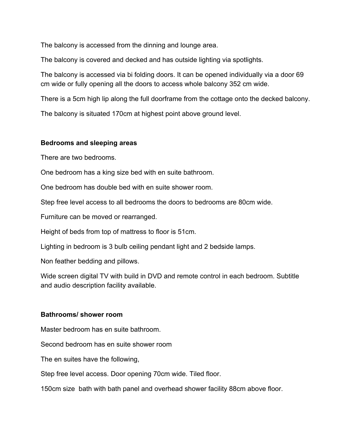The balcony is accessed from the dinning and lounge area.

The balcony is covered and decked and has outside lighting via spotlights.

The balcony is accessed via bi folding doors. It can be opened individually via a door 69 cm wide or fully opening all the doors to access whole balcony 352 cm wide.

There is a 5cm high lip along the full doorframe from the cottage onto the decked balcony.

The balcony is situated 170cm at highest point above ground level.

#### **Bedrooms and sleeping areas**

There are two bedrooms.

One bedroom has a king size bed with en suite bathroom.

One bedroom has double bed with en suite shower room.

Step free level access to all bedrooms the doors to bedrooms are 80cm wide.

Furniture can be moved or rearranged.

Height of beds from top of mattress to floor is 51cm.

Lighting in bedroom is 3 bulb ceiling pendant light and 2 bedside lamps.

Non feather bedding and pillows.

Wide screen digital TV with build in DVD and remote control in each bedroom. Subtitle and audio description facility available.

## **Bathrooms/ shower room**

Master bedroom has en suite bathroom.

Second bedroom has en suite shower room

The en suites have the following,

Step free level access. Door opening 70cm wide. Tiled floor.

150cm size bath with bath panel and overhead shower facility 88cm above floor.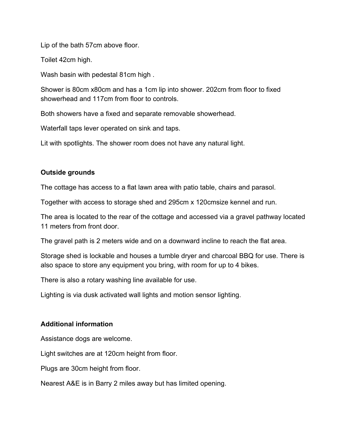Lip of the bath 57cm above floor.

Toilet 42cm high.

Wash basin with pedestal 81cm high .

Shower is 80cm x80cm and has a 1cm lip into shower. 202cm from floor to fixed showerhead and 117cm from floor to controls.

Both showers have a fixed and separate removable showerhead.

Waterfall taps lever operated on sink and taps.

Lit with spotlights. The shower room does not have any natural light.

## **Outside grounds**

The cottage has access to a flat lawn area with patio table, chairs and parasol.

Together with access to storage shed and 295cm x 120cmsize kennel and run.

The area is located to the rear of the cottage and accessed via a gravel pathway located 11 meters from front door.

The gravel path is 2 meters wide and on a downward incline to reach the flat area.

Storage shed is lockable and houses a tumble dryer and charcoal BBQ for use. There is also space to store any equipment you bring, with room for up to 4 bikes.

There is also a rotary washing line available for use.

Lighting is via dusk activated wall lights and motion sensor lighting.

## **Additional information**

Assistance dogs are welcome.

Light switches are at 120cm height from floor.

Plugs are 30cm height from floor.

Nearest A&E is in Barry 2 miles away but has limited opening.